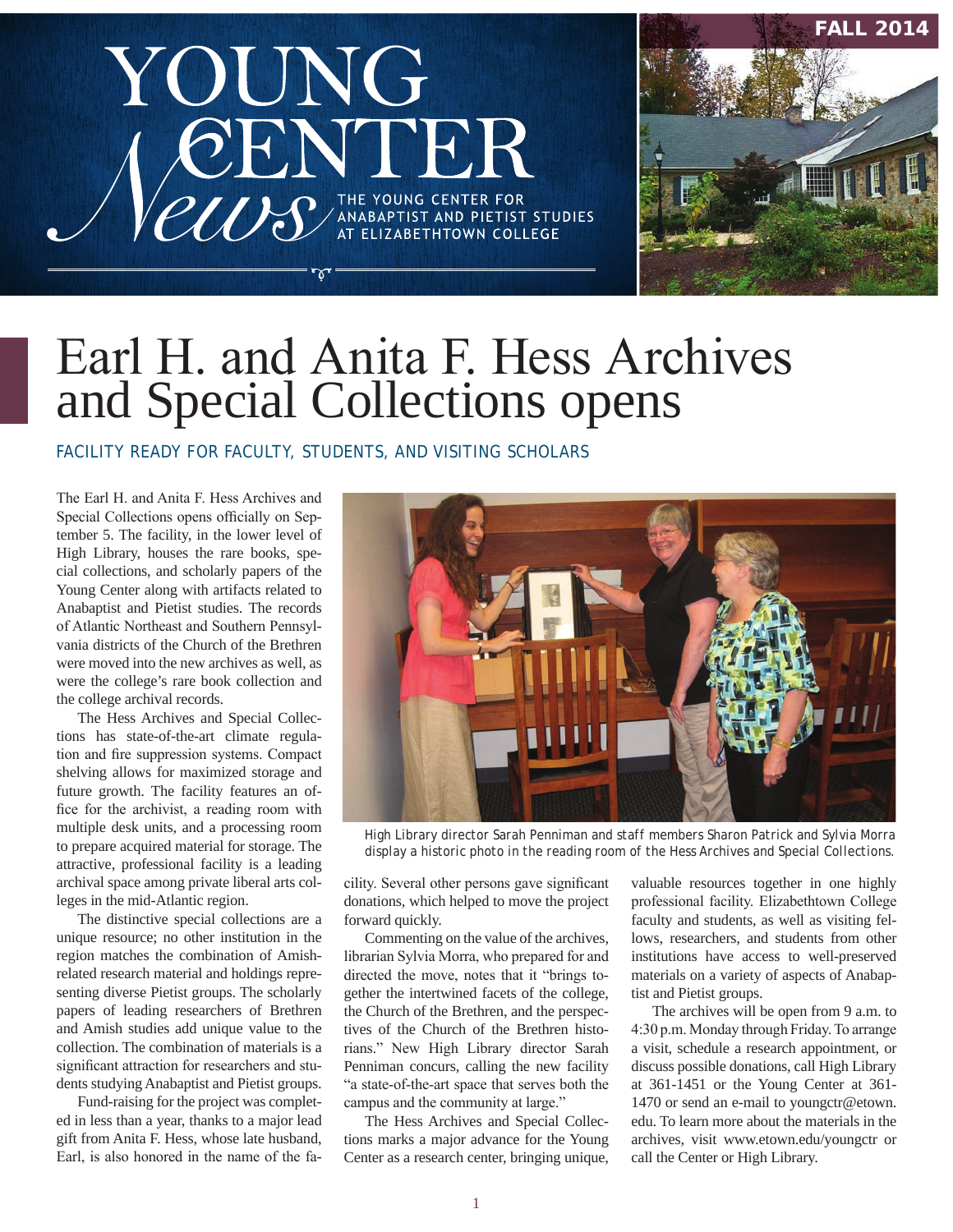# YOUNG  $\overline{U}$ THE YOUNG CENTER FOR<br>ANABAPTIST AND PIETIST STUDIES<br>AT ELIZABETHTOWN COLLEGE



# Earl H. and Anita F. Hess Archives and Special Collections opens

FACILITY READY FOR FACULTY, STUDENTS, AND VISITING SCHOLARS

The Earl H. and Anita F. Hess Archives and Special Collections opens officially on September 5. The facility, in the lower level of High Library, houses the rare books, special collections, and scholarly papers of the Young Center along with artifacts related to Anabaptist and Pietist studies. The records of Atlantic Northeast and Southern Pennsylvania districts of the Church of the Brethren were moved into the new archives as well, as were the college's rare book collection and the college archival records.

The Hess Archives and Special Collections has state-of-the-art climate regulation and fire suppression systems. Compact shelving allows for maximized storage and future growth. The facility features an office for the archivist, a reading room with multiple desk units, and a processing room to prepare acquired material for storage. The attractive, professional facility is a leading archival space among private liberal arts colleges in the mid-Atlantic region.

The distinctive special collections are a unique resource; no other institution in the region matches the combination of Amishrelated research material and holdings representing diverse Pietist groups. The scholarly papers of leading researchers of Brethren and Amish studies add unique value to the collection. The combination of materials is a significant attraction for researchers and students studying Anabaptist and Pietist groups.

Fund-raising for the project was completed in less than a year, thanks to a major lead gift from Anita F. Hess, whose late husband, Earl, is also honored in the name of the fa-



*High Library director Sarah Penniman and staff members Sharon Patrick and Sylvia Morra display a historic photo in the reading room of the Hess Archives and Special Collections.*

cility. Several other persons gave significant donations, which helped to move the project forward quickly.

Commenting on the value of the archives, librarian Sylvia Morra, who prepared for and directed the move, notes that it "brings together the intertwined facets of the college, the Church of the Brethren, and the perspectives of the Church of the Brethren historians." New High Library director Sarah Penniman concurs, calling the new facility "a state-of-the-art space that serves both the campus and the community at large."

The Hess Archives and Special Collections marks a major advance for the Young Center as a research center, bringing unique,

valuable resources together in one highly professional facility. Elizabethtown College faculty and students, as well as visiting fellows, researchers, and students from other institutions have access to well-preserved materials on a variety of aspects of Anabaptist and Pietist groups.

The archives will be open from 9 a.m. to 4:30 p.m. Monday through Friday. To arrange a visit, schedule a research appointment, or discuss possible donations, call High Library at 361-1451 or the Young Center at 361- 1470 or send an e-mail to youngctr@etown. edu. To learn more about the materials in the archives, visit www.etown.edu/youngctr or call the Center or High Library.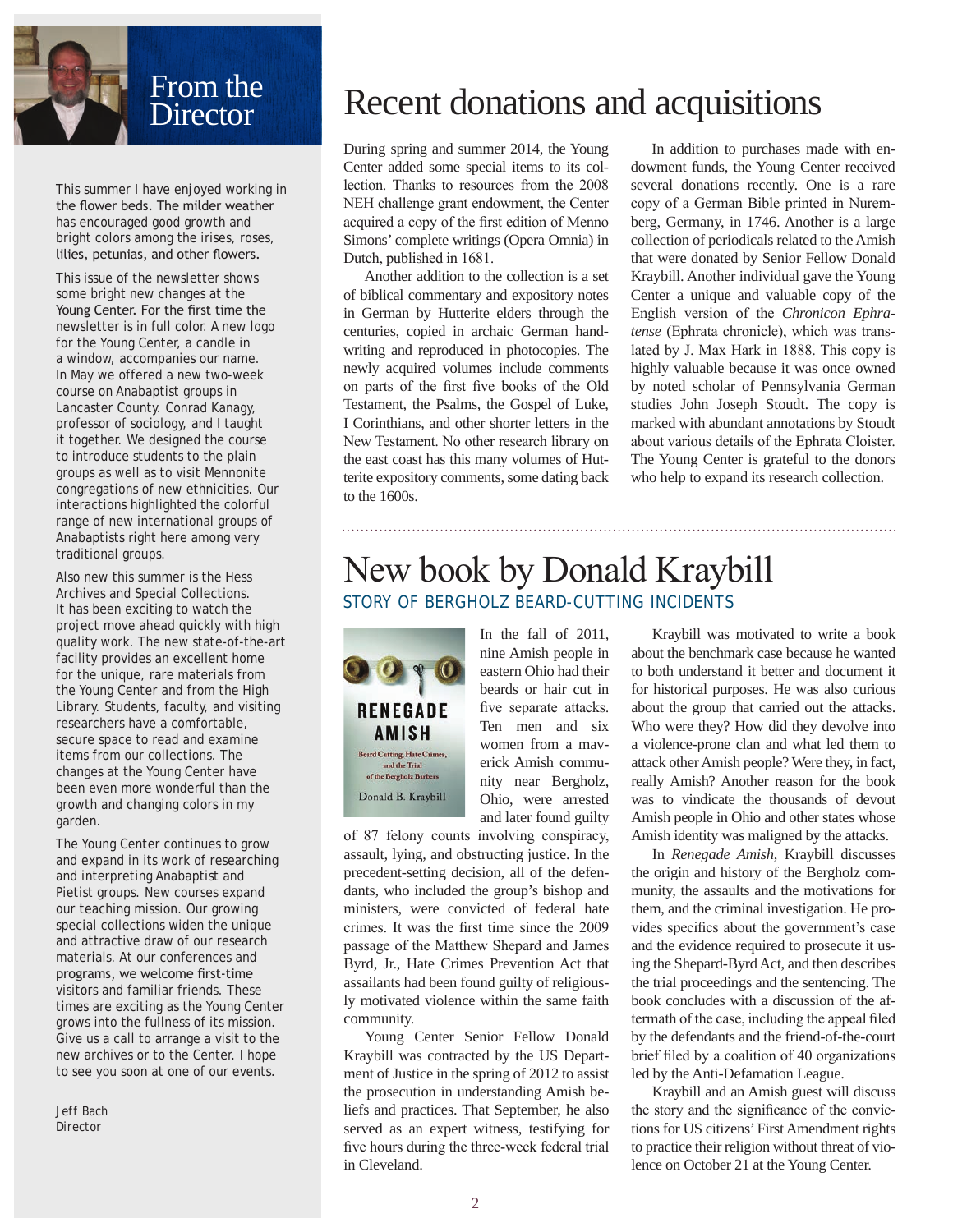

This summer I have enjoyed working in the flower beds. The milder weather has encouraged good growth and bright colors among the irises, roses, lilies, petunias, and other flowers.

This issue of the newsletter shows some bright new changes at the Young Center. For the first time the newsletter is in full color. A new logo for the Young Center, a candle in a window, accompanies our name. In May we offered a new two-week course on Anabaptist groups in Lancaster County. Conrad Kanagy, professor of sociology, and I taught it together. We designed the course to introduce students to the plain groups as well as to visit Mennonite congregations of new ethnicities. Our interactions highlighted the colorful range of new international groups of Anabaptists right here among very traditional groups.

Also new this summer is the Hess Archives and Special Collections. It has been exciting to watch the project move ahead quickly with high quality work. The new state-of-the-art facility provides an excellent home for the unique, rare materials from the Young Center and from the High Library. Students, faculty, and visiting researchers have a comfortable, secure space to read and examine items from our collections. The changes at the Young Center have been even more wonderful than the growth and changing colors in my garden.

The Young Center continues to grow and expand in its work of researching and interpreting Anabaptist and Pietist groups. New courses expand our teaching mission. Our growing special collections widen the unique and attractive draw of our research materials. At our conferences and programs, we welcome first-time visitors and familiar friends. These times are exciting as the Young Center grows into the fullness of its mission. Give us a call to arrange a visit to the new archives or to the Center. I hope to see you soon at one of our events.

*Jeff Bach Director*

# Recent donations and acquisitions

During spring and summer 2014, the Young Center added some special items to its collection. Thanks to resources from the 2008 NEH challenge grant endowment, the Center acquired a copy of the first edition of Menno Simons' complete writings (Opera Omnia) in Dutch, published in 1681.

Another addition to the collection is a set of biblical commentary and expository notes in German by Hutterite elders through the centuries, copied in archaic German handwriting and reproduced in photocopies. The newly acquired volumes include comments on parts of the first five books of the Old Testament, the Psalms, the Gospel of Luke, I Corinthians, and other shorter letters in the New Testament. No other research library on the east coast has this many volumes of Hutterite expository comments, some dating back to the 1600s.

In addition to purchases made with endowment funds, the Young Center received several donations recently. One is a rare copy of a German Bible printed in Nuremberg, Germany, in 1746. Another is a large collection of periodicals related to the Amish that were donated by Senior Fellow Donald Kraybill. Another individual gave the Young Center a unique and valuable copy of the English version of the *Chronicon Ephratense* (Ephrata chronicle), which was translated by J. Max Hark in 1888. This copy is highly valuable because it was once owned by noted scholar of Pennsylvania German studies John Joseph Stoudt. The copy is marked with abundant annotations by Stoudt about various details of the Ephrata Cloister. The Young Center is grateful to the donors who help to expand its research collection.

### New book by Donald Kraybill STORY OF BERGHOLZ BEARD-CUTTING INCIDENTS



In the fall of 2011, nine Amish people in eastern Ohio had their beards or hair cut in five separate attacks. Ten men and six women from a maverick Amish community near Bergholz, Ohio, were arrested and later found guilty

of 87 felony counts involving conspiracy, assault, lying, and obstructing justice. In the precedent-setting decision, all of the defendants, who included the group's bishop and ministers, were convicted of federal hate crimes. It was the first time since the 2009 passage of the Matthew Shepard and James Byrd, Jr., Hate Crimes Prevention Act that assailants had been found guilty of religiously motivated violence within the same faith community.

Young Center Senior Fellow Donald Kraybill was contracted by the US Department of Justice in the spring of 2012 to assist the prosecution in understanding Amish beliefs and practices. That September, he also served as an expert witness, testifying for five hours during the three-week federal trial in Cleveland.

Kraybill was motivated to write a book about the benchmark case because he wanted to both understand it better and document it for historical purposes. He was also curious about the group that carried out the attacks. Who were they? How did they devolve into a violence-prone clan and what led them to attack other Amish people? Were they, in fact, really Amish? Another reason for the book was to vindicate the thousands of devout Amish people in Ohio and other states whose Amish identity was maligned by the attacks.

In *Renegade Amish*, Kraybill discusses the origin and history of the Bergholz community, the assaults and the motivations for them, and the criminal investigation. He provides specifics about the government's case and the evidence required to prosecute it using the Shepard-Byrd Act, and then describes the trial proceedings and the sentencing. The book concludes with a discussion of the aftermath of the case, including the appeal filed by the defendants and the friend-of-the-court brief filed by a coalition of 40 organizations led by the Anti-Defamation League.

Kraybill and an Amish guest will discuss the story and the significance of the convictions for US citizens' First Amendment rights to practice their religion without threat of violence on October 21 at the Young Center.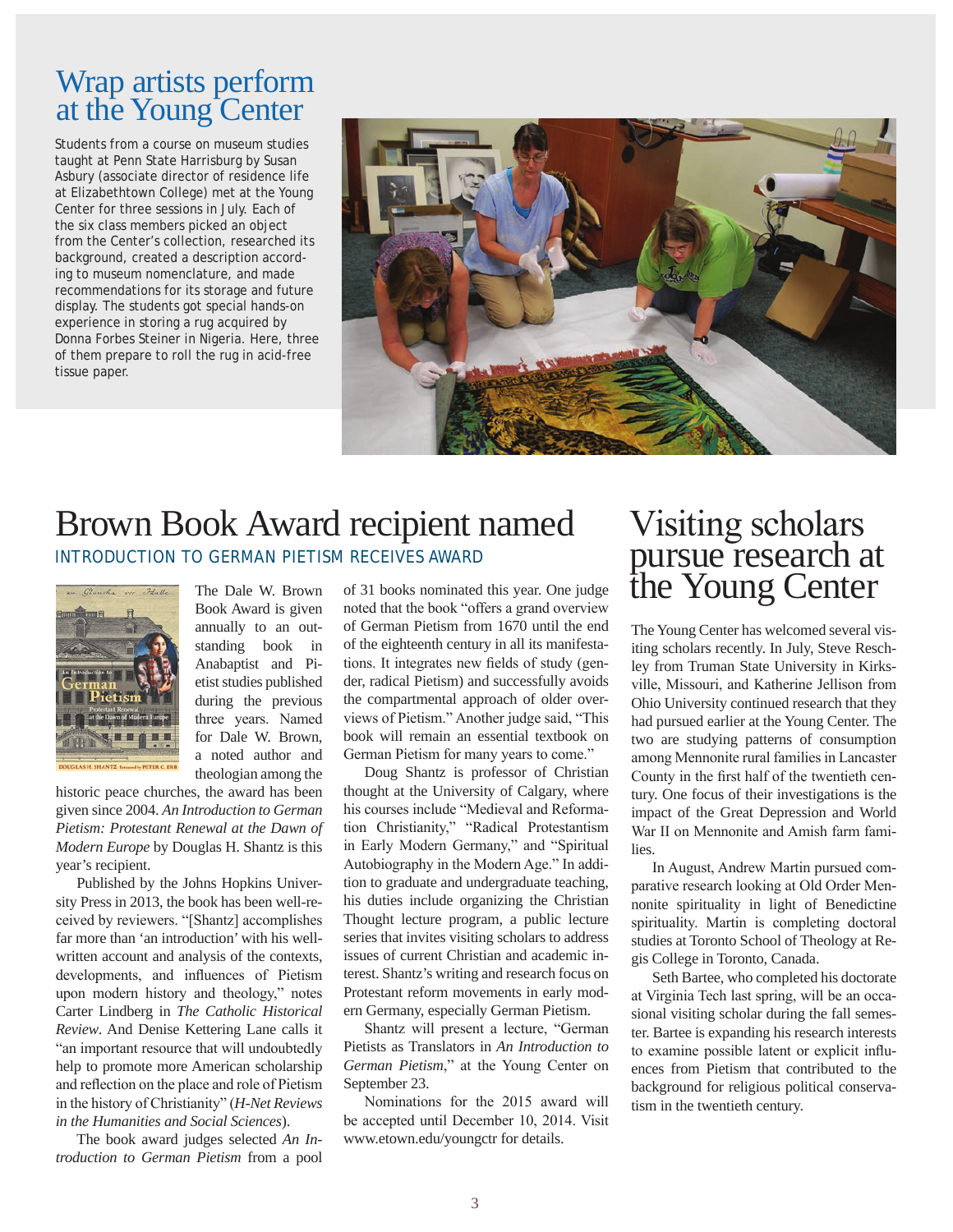### Wrap artists perform at the Young Center

Students from a course on museum studies taught at Penn State Harrisburg by Susan Asbury (associate director of residence life at Elizabethtown College) met at the Young Center for three sessions in July. Each of the six class members picked an object from the Center's collection, researched its background, created a description according to museum nomenclature, and made recommendations for its storage and future display. The students got special hands-on experience in storing a rug acquired by Donna Forbes Steiner in Nigeria. Here, three of them prepare to roll the rug in acid-free tissue paper.



### Brown Book Award recipient named *INTRODUCTION TO GERMAN PIETISM* RECEIVES AWARD



The Dale W. Brown Book Award is given annually to an outstanding book in Anabaptist and Pietist studies published during the previous three years. Named for Dale W. Brown, a noted author and theologian among the

historic peace churches, the award has been given since 2004. *An Introduction to German Pietism: Protestant Renewal at the Dawn of Modern Europe* by Douglas H. Shantz is this year's recipient.

Published by the Johns Hopkins University Press in 2013, the book has been well-received by reviewers. "[Shantz] accomplishes far more than 'an introduction' with his wellwritten account and analysis of the contexts, developments, and influences of Pietism upon modern history and theology," notes Carter Lindberg in *The Catholic Historical Review*. And Denise Kettering Lane calls it "an important resource that will undoubtedly help to promote more American scholarship and reflection on the place and role of Pietism in the history of Christianity" (*H-Net Reviews in the Humanities and Social Sciences*).

The book award judges selected *An Introduction to German Pietism* from a pool of 31 books nominated this year. One judge noted that the book "offers a grand overview of German Pietism from 1670 until the end of the eighteenth century in all its manifestations. It integrates new fields of study (gender, radical Pietism) and successfully avoids the compartmental approach of older overviews of Pietism." Another judge said, "This book will remain an essential textbook on German Pietism for many years to come."

Doug Shantz is professor of Christian thought at the University of Calgary, where his courses include "Medieval and Reformation Christianity," "Radical Protestantism in Early Modern Germany," and "Spiritual Autobiography in the Modern Age." In addition to graduate and undergraduate teaching, his duties include organizing the Christian Thought lecture program, a public lecture series that invites visiting scholars to address issues of current Christian and academic interest. Shantz's writing and research focus on Protestant reform movements in early modern Germany, especially German Pietism.

Shantz will present a lecture, "German Pietists as Translators in *An Introduction to German Pietism*," at the Young Center on September 23.

Nominations for the 2015 award will be accepted until December 10, 2014. Visit www.etown.edu/youngctr for details.

# Visiting scholars pursue research at the Young Center

The Young Center has welcomed several visiting scholars recently. In July, Steve Reschley from Truman State University in Kirksville, Missouri, and Katherine Jellison from Ohio University continued research that they had pursued earlier at the Young Center. The two are studying patterns of consumption among Mennonite rural families in Lancaster County in the first half of the twentieth century. One focus of their investigations is the impact of the Great Depression and World War II on Mennonite and Amish farm families.

In August, Andrew Martin pursued comparative research looking at Old Order Mennonite spirituality in light of Benedictine spirituality. Martin is completing doctoral studies at Toronto School of Theology at Regis College in Toronto, Canada.

Seth Bartee, who completed his doctorate at Virginia Tech last spring, will be an occasional visiting scholar during the fall semester. Bartee is expanding his research interests to examine possible latent or explicit influences from Pietism that contributed to the background for religious political conservatism in the twentieth century.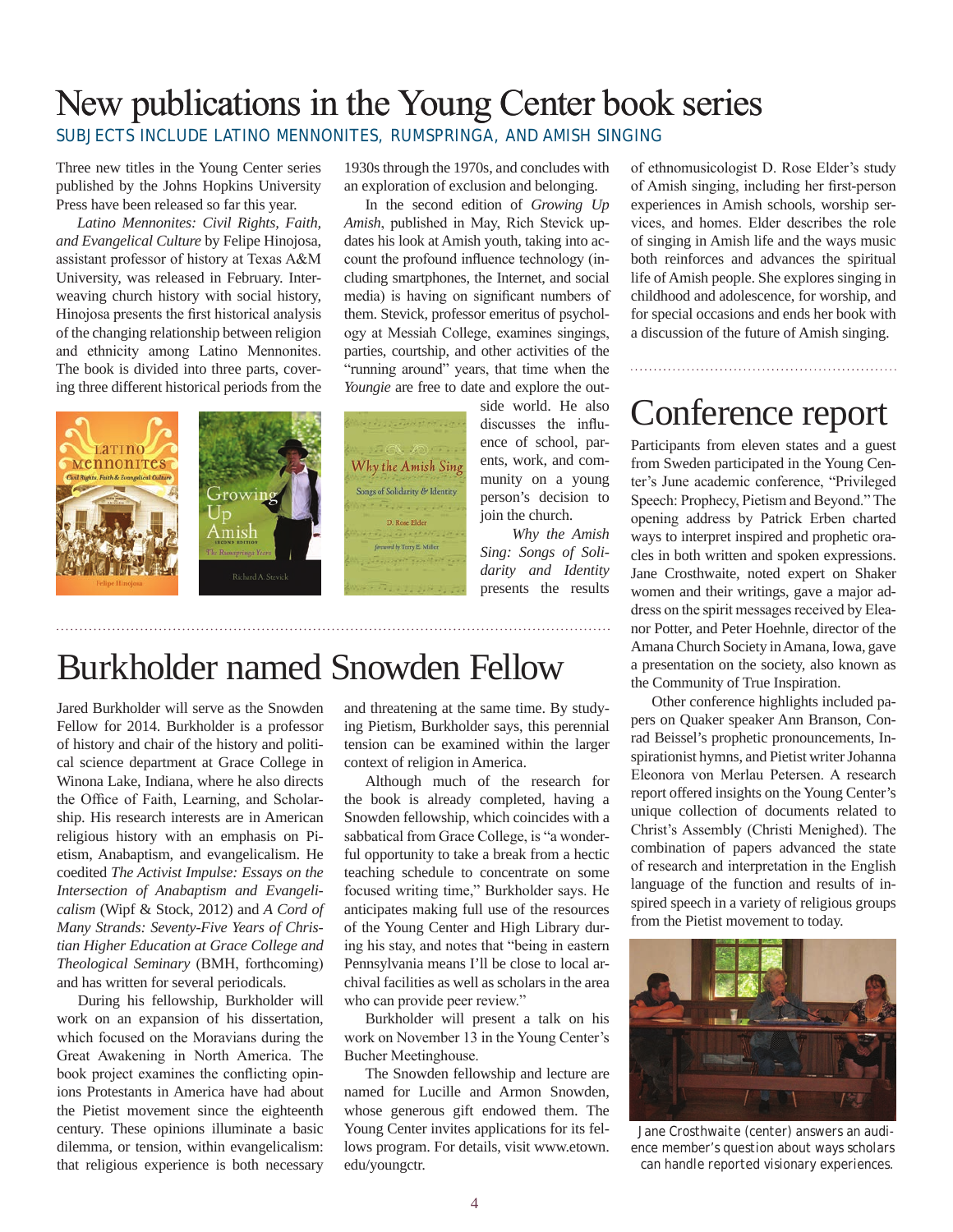# New publications in the Young Center book series

SUBJECTS INCLUDE LATINO MENNONITES, *RUMSPRINGA*, AND AMISH SINGING

Three new titles in the Young Center series published by the Johns Hopkins University Press have been released so far this year.

*Latino Mennonites: Civil Rights, Faith, and Evangelical Culture* by Felipe Hinojosa, assistant professor of history at Texas A&M University, was released in February. Interweaving church history with social history, Hinojosa presents the first historical analysis of the changing relationship between religion and ethnicity among Latino Mennonites. The book is divided into three parts, covering three different historical periods from the

1930s through the 1970s, and concludes with an exploration of exclusion and belonging.

In the second edition of *Growing Up Amish*, published in May, Rich Stevick updates his look at Amish youth, taking into account the profound influence technology (including smartphones, the Internet, and social media) is having on significant numbers of them. Stevick, professor emeritus of psychology at Messiah College, examines singings, parties, courtship, and other activities of the "running around" years, that time when the *Youngie* are free to date and explore the out-

ents, work, and com-Why the Amish Sing munity on a young Songs of Solidarity & Identity person's decision to D. Rose Elder

join the church. *Why the Amish Sing: Songs of Solidarity and Identity*

presents the results

side world. He also discusses the influence of school, par-Participants from eleven states and a guest Conference report

from Sweden participated in the Young Center's June academic conference, "Privileged Speech: Prophecy, Pietism and Beyond." The opening address by Patrick Erben charted ways to interpret inspired and prophetic oracles in both written and spoken expressions. Jane Crosthwaite, noted expert on Shaker women and their writings, gave a major address on the spirit messages received by Eleanor Potter, and Peter Hoehnle, director of the Amana Church Society in Amana, Iowa, gave a presentation on the society, also known as the Community of True Inspiration.

of ethnomusicologist D. Rose Elder's study of Amish singing, including her first-person experiences in Amish schools, worship services, and homes. Elder describes the role of singing in Amish life and the ways music both reinforces and advances the spiritual life of Amish people. She explores singing in childhood and adolescence, for worship, and for special occasions and ends her book with a discussion of the future of Amish singing.

Other conference highlights included papers on Quaker speaker Ann Branson, Conrad Beissel's prophetic pronouncements, Inspirationist hymns, and Pietist writer Johanna Eleonora von Merlau Petersen. A research report offered insights on the Young Center's unique collection of documents related to Christ's Assembly (Christi Menighed). The combination of papers advanced the state of research and interpretation in the English language of the function and results of inspired speech in a variety of religious groups from the Pietist movement to today.



*Jane Crosthwaite (center) answers an audience member's question about ways scholars can handle reported visionary experiences.*



# Burkholder named Snowden Fellow

Jared Burkholder will serve as the Snowden Fellow for 2014. Burkholder is a professor of history and chair of the history and political science department at Grace College in Winona Lake, Indiana, where he also directs the Office of Faith, Learning, and Scholarship. His research interests are in American religious history with an emphasis on Pietism, Anabaptism, and evangelicalism. He coedited *The Activist Impulse: Essays on the Intersection of Anabaptism and Evangelicalism* (Wipf & Stock, 2012) and *A Cord of Many Strands: Seventy-Five Years of Christian Higher Education at Grace College and Theological Seminary* (BMH, forthcoming) and has written for several periodicals.

During his fellowship, Burkholder will work on an expansion of his dissertation, which focused on the Moravians during the Great Awakening in North America. The book project examines the conflicting opinions Protestants in America have had about the Pietist movement since the eighteenth century. These opinions illuminate a basic dilemma, or tension, within evangelicalism: that religious experience is both necessary

and threatening at the same time. By studying Pietism, Burkholder says, this perennial tension can be examined within the larger context of religion in America.

Although much of the research for the book is already completed, having a Snowden fellowship, which coincides with a sabbatical from Grace College, is "a wonderful opportunity to take a break from a hectic teaching schedule to concentrate on some focused writing time," Burkholder says. He anticipates making full use of the resources of the Young Center and High Library during his stay, and notes that "being in eastern Pennsylvania means I'll be close to local archival facilities as well as scholars in the area who can provide peer review."

Burkholder will present a talk on his work on November 13 in the Young Center's Bucher Meetinghouse.

The Snowden fellowship and lecture are named for Lucille and Armon Snowden, whose generous gift endowed them. The Young Center invites applications for its fellows program. For details, visit www.etown. edu/youngctr.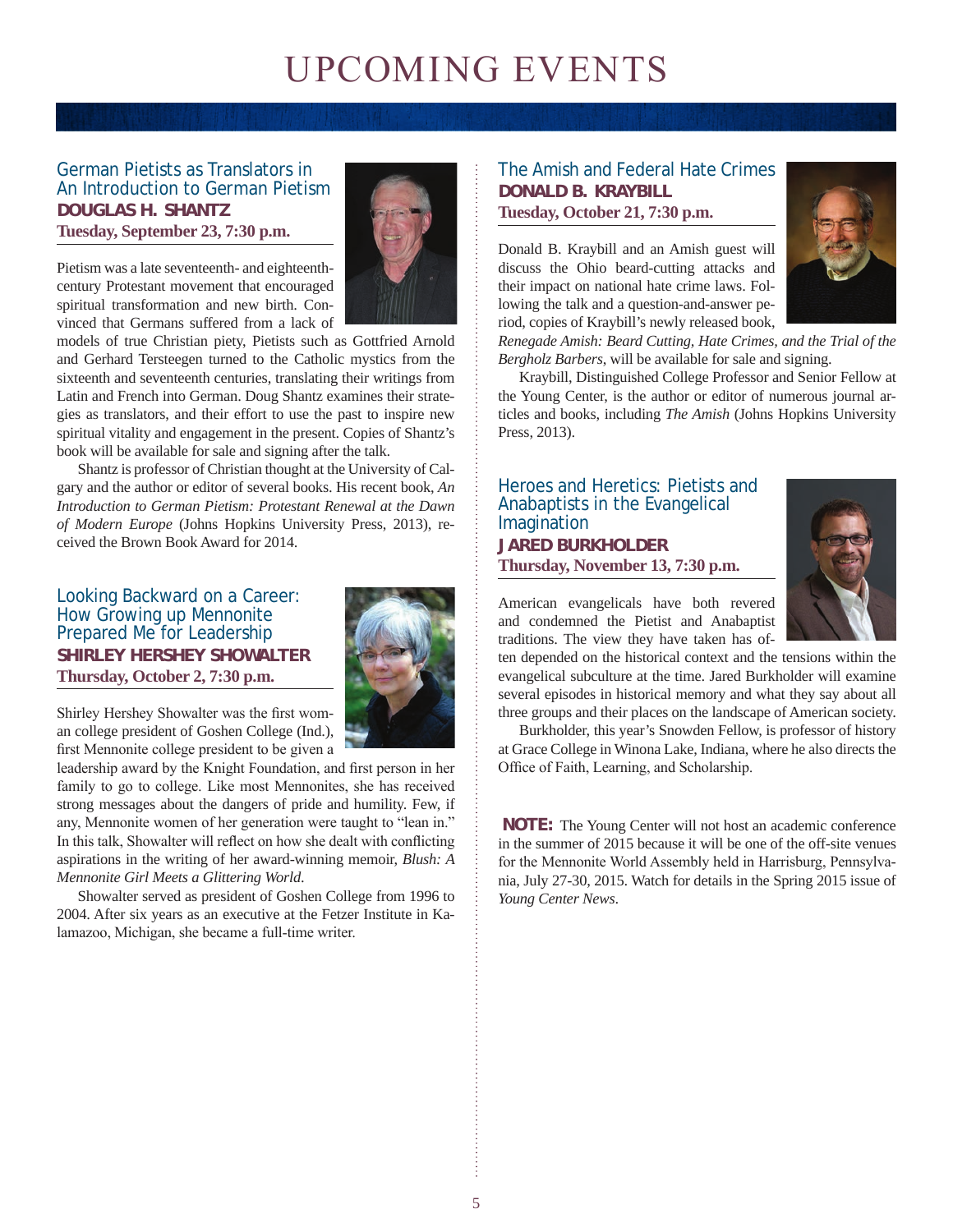# UPCOMING EVENTS

#### German Pietists as Translators in *An Introduction to German Pietism* **DOUGLAS H. SHANTZ Tuesday, September 23, 7:30 p.m.**



Pietism was a late seventeenth- and eighteenthcentury Protestant movement that encouraged spiritual transformation and new birth. Convinced that Germans suffered from a lack of

models of true Christian piety, Pietists such as Gottfried Arnold and Gerhard Tersteegen turned to the Catholic mystics from the sixteenth and seventeenth centuries, translating their writings from Latin and French into German. Doug Shantz examines their strategies as translators, and their effort to use the past to inspire new spiritual vitality and engagement in the present. Copies of Shantz's book will be available for sale and signing after the talk.

Shantz is professor of Christian thought at the University of Calgary and the author or editor of several books. His recent book, *An Introduction to German Pietism: Protestant Renewal at the Dawn of Modern Europe* (Johns Hopkins University Press, 2013), received the Brown Book Award for 2014.

#### Looking Backward on a Career: How Growing up Mennonite Prepared Me for Leadership **SHIRLEY HERSHEY SHOWALTER Thursday, October 2, 7:30 p.m.**



Shirley Hershey Showalter was the first woman college president of Goshen College (Ind.), first Mennonite college president to be given a

leadership award by the Knight Foundation, and first person in her family to go to college. Like most Mennonites, she has received strong messages about the dangers of pride and humility. Few, if any, Mennonite women of her generation were taught to "lean in." In this talk, Showalter will reflect on how she dealt with conflicting aspirations in the writing of her award-winning memoir, *Blush: A Mennonite Girl Meets a Glittering World*.

Showalter served as president of Goshen College from 1996 to 2004. After six years as an executive at the Fetzer Institute in Kalamazoo, Michigan, she became a full-time writer.

#### The Amish and Federal Hate Crimes **DONALD B. KRAYBILL Tuesday, October 21, 7:30 p.m.**

Donald B. Kraybill and an Amish guest will discuss the Ohio beard-cutting attacks and their impact on national hate crime laws. Following the talk and a question-and-answer period, copies of Kraybill's newly released book,



*Renegade Amish: Beard Cutting, Hate Crimes, and the Trial of the Bergholz Barbers*, will be available for sale and signing.

Kraybill, Distinguished College Professor and Senior Fellow at the Young Center, is the author or editor of numerous journal articles and books, including *The Amish* (Johns Hopkins University Press, 2013).

#### Heroes and Heretics: Pietists and Anabaptists in the Evangelical Imagination **JARED BURKHOLDER Thursday, November 13, 7:30 p.m.**



American evangelicals have both revered and condemned the Pietist and Anabaptist traditions. The view they have taken has of-

ten depended on the historical context and the tensions within the evangelical subculture at the time. Jared Burkholder will examine several episodes in historical memory and what they say about all three groups and their places on the landscape of American society.

Burkholder, this year's Snowden Fellow, is professor of history at Grace College in Winona Lake, Indiana, where he also directs the Office of Faith, Learning, and Scholarship.

**NOTE:** The Young Center will not host an academic conference in the summer of 2015 because it will be one of the off-site venues for the Mennonite World Assembly held in Harrisburg, Pennsylvania, July 27-30, 2015. Watch for details in the Spring 2015 issue of *Young Center News*.